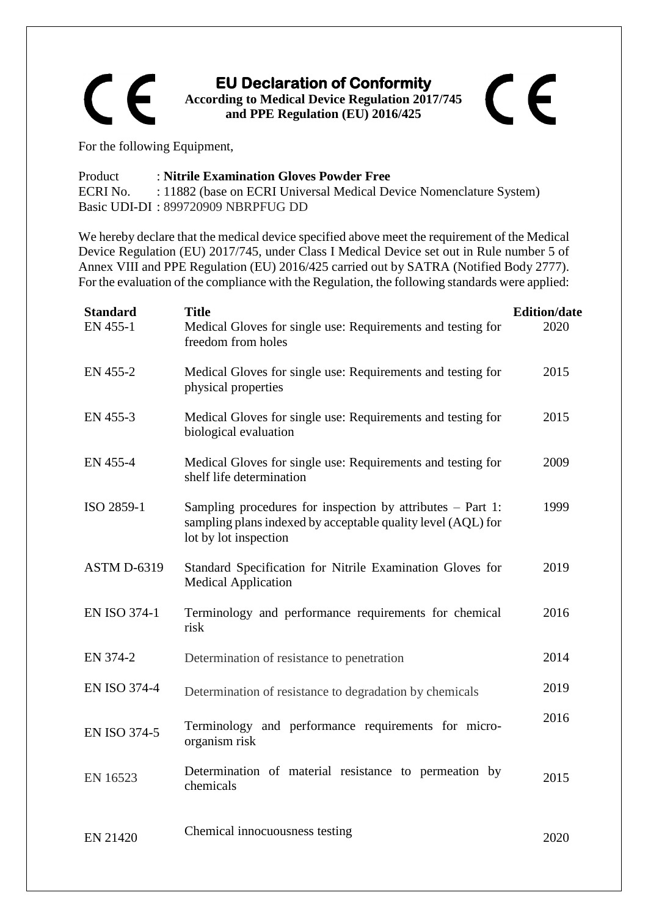

## For the following Equipment,

## Product : **Nitrile Examination Gloves Powder Free** ECRI No. : 11882 (base on ECRI Universal Medical Device Nomenclature System) Basic UDI-DI : 899720909 NBRPFUG DD

We hereby declare that the medical device specified above meet the requirement of the Medical Device Regulation (EU) 2017/745, under Class I Medical Device set out in Rule number 5 of Annex VIII and PPE Regulation (EU) 2016/425 carried out by SATRA (Notified Body 2777). For the evaluation of the compliance with the Regulation, the following standards were applied:

| <b>Standard</b><br>EN 455-1 | <b>Title</b><br>Medical Gloves for single use: Requirements and testing for<br>freedom from holes                                                     | <b>Edition/date</b><br>2020 |
|-----------------------------|-------------------------------------------------------------------------------------------------------------------------------------------------------|-----------------------------|
| EN 455-2                    | Medical Gloves for single use: Requirements and testing for<br>physical properties                                                                    | 2015                        |
| EN 455-3                    | Medical Gloves for single use: Requirements and testing for<br>biological evaluation                                                                  | 2015                        |
| EN 455-4                    | Medical Gloves for single use: Requirements and testing for<br>shelf life determination                                                               | 2009                        |
| ISO 2859-1                  | Sampling procedures for inspection by attributes $-$ Part 1:<br>sampling plans indexed by acceptable quality level (AQL) for<br>lot by lot inspection | 1999                        |
| <b>ASTM D-6319</b>          | Standard Specification for Nitrile Examination Gloves for<br><b>Medical Application</b>                                                               | 2019                        |
| <b>EN ISO 374-1</b>         | Terminology and performance requirements for chemical<br>risk                                                                                         | 2016                        |
| EN 374-2                    | Determination of resistance to penetration                                                                                                            | 2014                        |
| <b>EN ISO 374-4</b>         | Determination of resistance to degradation by chemicals                                                                                               | 2019                        |
| <b>EN ISO 374-5</b>         | Terminology and performance requirements for micro-<br>organism risk                                                                                  | 2016                        |
| EN 16523                    | Determination of material resistance to permeation by<br>chemicals                                                                                    | 2015                        |
| EN 21420                    | Chemical innocuousness testing                                                                                                                        | 2020                        |